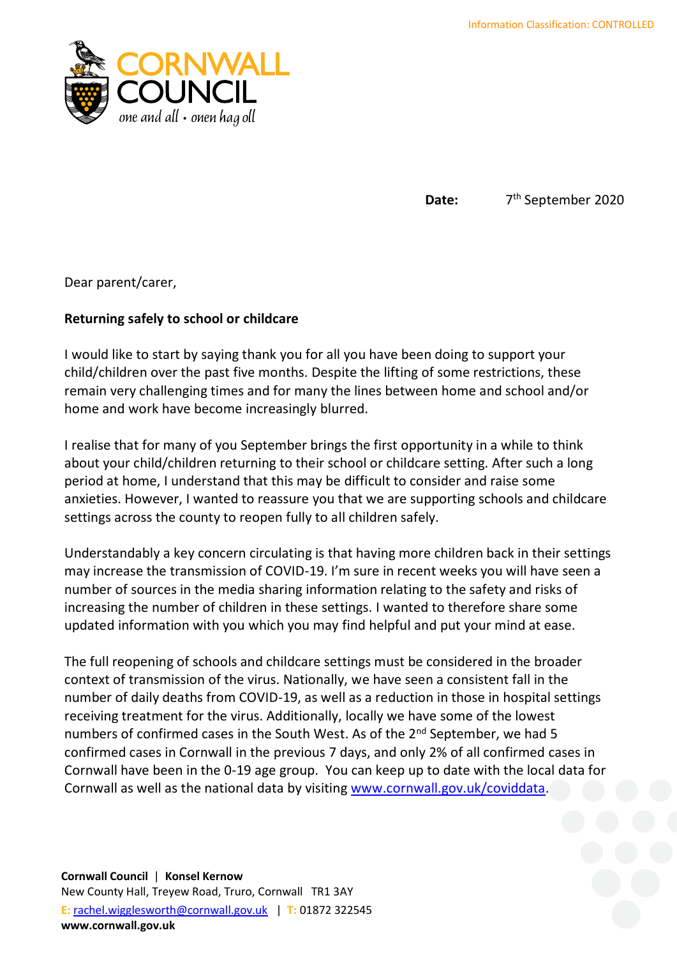

Date: 7<sup>th</sup> September 2020

Dear parent/carer,

## **Returning safely to school or childcare**

I would like to start by saying thank you for all you have been doing to support your child/children over the past five months. Despite the lifting of some restrictions, these remain very challenging times and for many the lines between home and school and/or home and work have become increasingly blurred.

I realise that for many of you September brings the first opportunity in a while to think about your child/children returning to their school or childcare setting. After such a long period at home, I understand that this may be difficult to consider and raise some anxieties. However, I wanted to reassure you that we are supporting schools and childcare settings across the county to reopen fully to all children safely.

Understandably a key concern circulating is that having more children back in their settings may increase the transmission of COVID-19. I'm sure in recent weeks you will have seen a number of sources in the media sharing information relating to the safety and risks of increasing the number of children in these settings. I wanted to therefore share some updated information with you which you may find helpful and put your mind at ease.

The full reopening of schools and childcare settings must be considered in the broader context of transmission of the virus. Nationally, we have seen a consistent fall in the number of daily deaths from COVID-19, as well as a reduction in those in hospital settings receiving treatment for the virus. Additionally, locally we have some of the lowest numbers of confirmed cases in the South West. As of the 2<sup>nd</sup> September, we had 5 confirmed cases in Cornwall in the previous 7 days, and only 2% of all confirmed cases in Cornwall have been in the 0-19 age group. You can keep up to date with the local data for Cornwall as well as the national data by visiting [www.cornwall.gov.uk/coviddata.](http://www.cornwall.gov.uk/coviddata)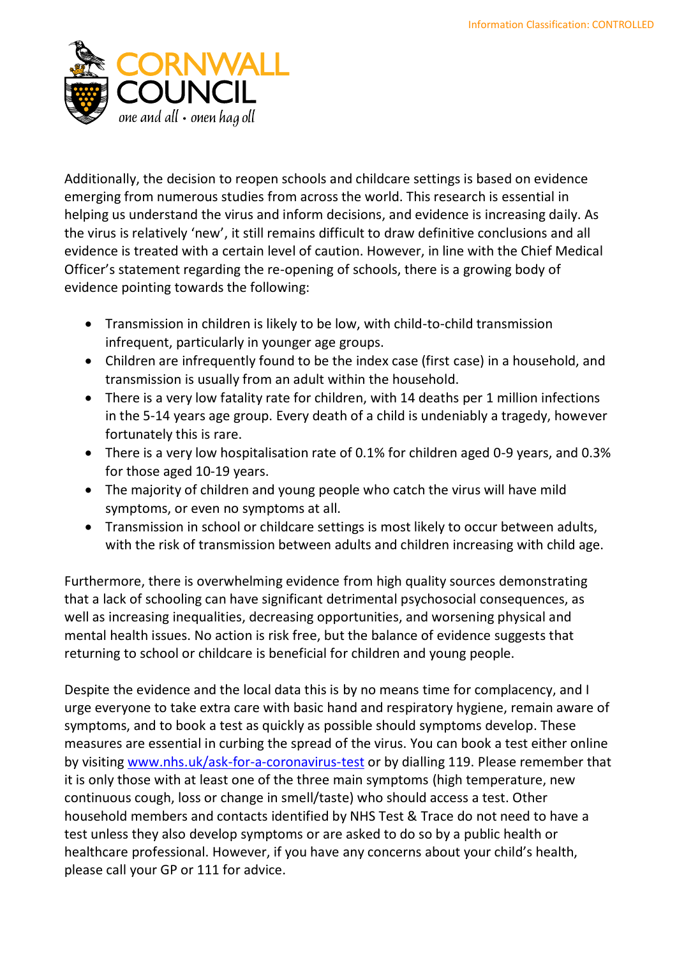

Additionally, the decision to reopen schools and childcare settings is based on evidence emerging from numerous studies from across the world. This research is essential in helping us understand the virus and inform decisions, and evidence is increasing daily. As the virus is relatively 'new', it still remains difficult to draw definitive conclusions and all evidence is treated with a certain level of caution. However, in line with the Chief Medical Officer's statement regarding the re-opening of schools, there is a growing body of evidence pointing towards the following:

- Transmission in children is likely to be low, with child-to-child transmission infrequent, particularly in younger age groups.
- Children are infrequently found to be the index case (first case) in a household, and transmission is usually from an adult within the household.
- There is a very low fatality rate for children, with 14 deaths per 1 million infections in the 5-14 years age group. Every death of a child is undeniably a tragedy, however fortunately this is rare.
- There is a very low hospitalisation rate of 0.1% for children aged 0-9 years, and 0.3% for those aged 10-19 years.
- The majority of children and young people who catch the virus will have mild symptoms, or even no symptoms at all.
- Transmission in school or childcare settings is most likely to occur between adults, with the risk of transmission between adults and children increasing with child age.

Furthermore, there is overwhelming evidence from high quality sources demonstrating that a lack of schooling can have significant detrimental psychosocial consequences, as well as increasing inequalities, decreasing opportunities, and worsening physical and mental health issues. No action is risk free, but the balance of evidence suggests that returning to school or childcare is beneficial for children and young people.

Despite the evidence and the local data this is by no means time for complacency, and I urge everyone to take extra care with basic hand and respiratory hygiene, remain aware of symptoms, and to book a test as quickly as possible should symptoms develop. These measures are essential in curbing the spread of the virus. You can book a test either online by visiting [www.nhs.uk/ask-for-a-coronavirus-test](http://www.nhs.uk/ask-for-a-coronavirus-test%20or%20by%20dialling%20119) or by dialling 119. Please remember that it is only those with at least one of the three main symptoms (high temperature, new continuous cough, loss or change in smell/taste) who should access a test. Other household members and contacts identified by NHS Test & Trace do not need to have a test unless they also develop symptoms or are asked to do so by a public health or healthcare professional. However, if you have any concerns about your child's health, please call your GP or 111 for advice.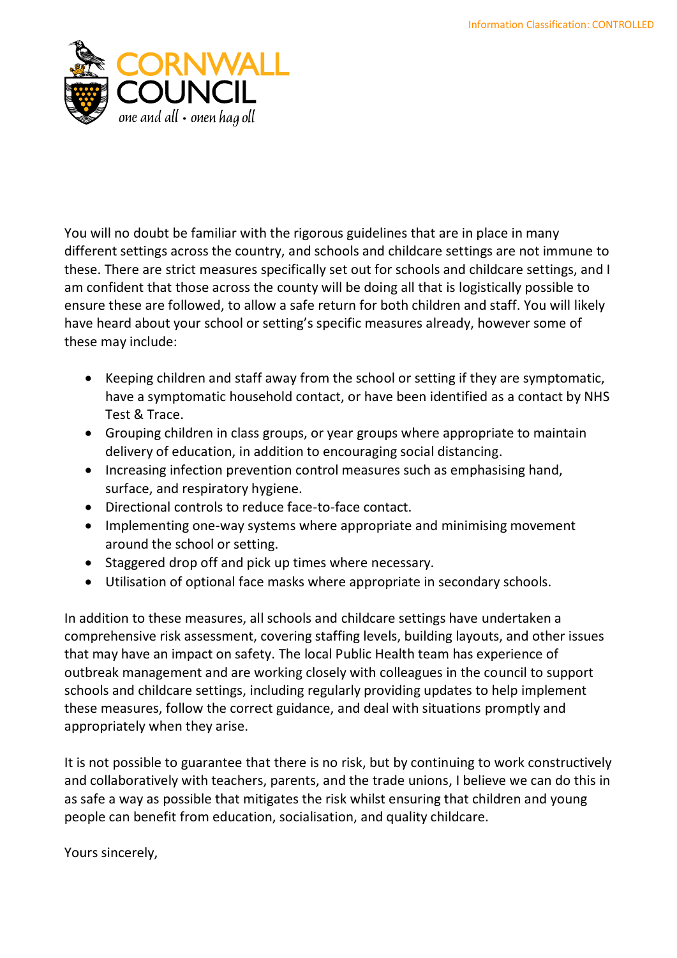

You will no doubt be familiar with the rigorous guidelines that are in place in many different settings across the country, and schools and childcare settings are not immune to these. There are strict measures specifically set out for schools and childcare settings, and I am confident that those across the county will be doing all that is logistically possible to ensure these are followed, to allow a safe return for both children and staff. You will likely have heard about your school or setting's specific measures already, however some of these may include:

- Keeping children and staff away from the school or setting if they are symptomatic, have a symptomatic household contact, or have been identified as a contact by NHS Test & Trace.
- Grouping children in class groups, or year groups where appropriate to maintain delivery of education, in addition to encouraging social distancing.
- Increasing infection prevention control measures such as emphasising hand, surface, and respiratory hygiene.
- Directional controls to reduce face-to-face contact.
- Implementing one-way systems where appropriate and minimising movement around the school or setting.
- Staggered drop off and pick up times where necessary.
- Utilisation of optional face masks where appropriate in secondary schools.

In addition to these measures, all schools and childcare settings have undertaken a comprehensive risk assessment, covering staffing levels, building layouts, and other issues that may have an impact on safety. The local Public Health team has experience of outbreak management and are working closely with colleagues in the council to support schools and childcare settings, including regularly providing updates to help implement these measures, follow the correct guidance, and deal with situations promptly and appropriately when they arise.

It is not possible to guarantee that there is no risk, but by continuing to work constructively and collaboratively with teachers, parents, and the trade unions, I believe we can do this in as safe a way as possible that mitigates the risk whilst ensuring that children and young people can benefit from education, socialisation, and quality childcare.

Yours sincerely,